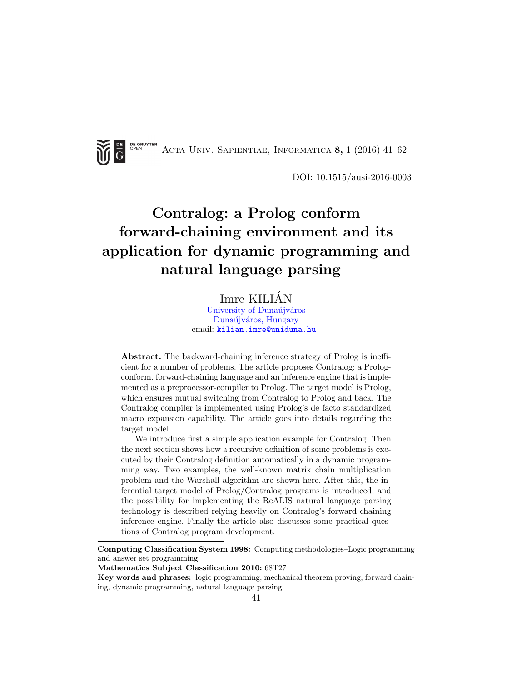

DOI: 10.1515/ausi-2016-0003

# Contralog: a Prolog conform forward-chaining environment and its application for dynamic programming and natural language parsing

Imre KILIAN´ University of Dunaújváros Dunaújváros, Hungary email: [kilian.imre@uniduna.hu](mailto:kilian.imre@uniduna.hu)

Abstract. The backward-chaining inference strategy of Prolog is inefficient for a number of problems. The article proposes Contralog: a Prologconform, forward-chaining language and an inference engine that is implemented as a preprocessor-compiler to Prolog. The target model is Prolog, which ensures mutual switching from Contralog to Prolog and back. The Contralog compiler is implemented using Prolog's de facto standardized macro expansion capability. The article goes into details regarding the target model.

We introduce first a simple application example for Contralog. Then the next section shows how a recursive definition of some problems is executed by their Contralog definition automatically in a dynamic programming way. Two examples, the well-known matrix chain multiplication problem and the Warshall algorithm are shown here. After this, the inferential target model of Prolog/Contralog programs is introduced, and the possibility for implementing the ReALIS natural language parsing technology is described relying heavily on Contralog's forward chaining inference engine. Finally the article also discusses some practical questions of Contralog program development.

Computing Classification System 1998: Computing methodologies–Logic programming and answer set programming

Mathematics Subject Classification 2010: 68T27

Key words and phrases: logic programming, mechanical theorem proving, forward chaining, dynamic programming, natural language parsing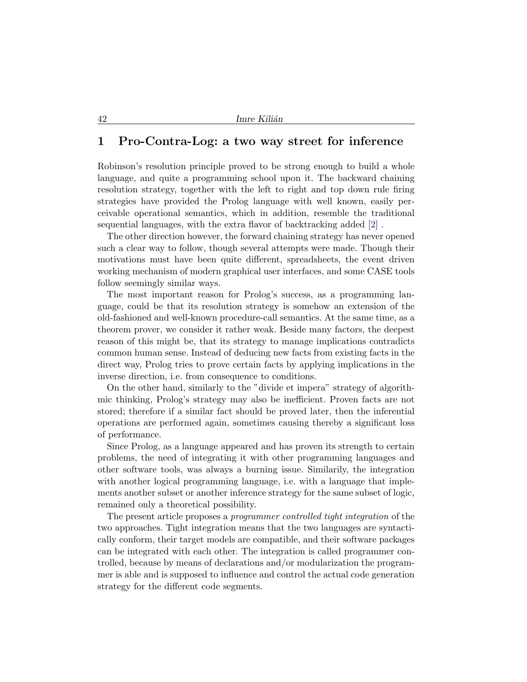## 1 Pro-Contra-Log: a two way street for inference

Robinson's resolution principle proved to be strong enough to build a whole language, and quite a programming school upon it. The backward chaining resolution strategy, together with the left to right and top down rule firing strategies have provided the Prolog language with well known, easily perceivable operational semantics, which in addition, resemble the traditional sequential languages, with the extra flavor of backtracking added [\[2\]](#page-21-0) .

The other direction however, the forward chaining strategy has never opened such a clear way to follow, though several attempts were made. Though their motivations must have been quite different, spreadsheets, the event driven working mechanism of modern graphical user interfaces, and some CASE tools follow seemingly similar ways.

The most important reason for Prolog's success, as a programming language, could be that its resolution strategy is somehow an extension of the old-fashioned and well-known procedure-call semantics. At the same time, as a theorem prover, we consider it rather weak. Beside many factors, the deepest reason of this might be, that its strategy to manage implications contradicts common human sense. Instead of deducing new facts from existing facts in the direct way, Prolog tries to prove certain facts by applying implications in the inverse direction, i.e. from consequence to conditions.

On the other hand, similarly to the "divide et impera" strategy of algorithmic thinking, Prolog's strategy may also be inefficient. Proven facts are not stored; therefore if a similar fact should be proved later, then the inferential operations are performed again, sometimes causing thereby a significant loss of performance.

Since Prolog, as a language appeared and has proven its strength to certain problems, the need of integrating it with other programming languages and other software tools, was always a burning issue. Similarily, the integration with another logical programming language, i.e. with a language that implements another subset or another inference strategy for the same subset of logic, remained only a theoretical possibility.

The present article proposes a programmer controlled tight integration of the two approaches. Tight integration means that the two languages are syntactically conform, their target models are compatible, and their software packages can be integrated with each other. The integration is called programmer controlled, because by means of declarations and/or modularization the programmer is able and is supposed to influence and control the actual code generation strategy for the different code segments.

<span id="page-1-0"></span>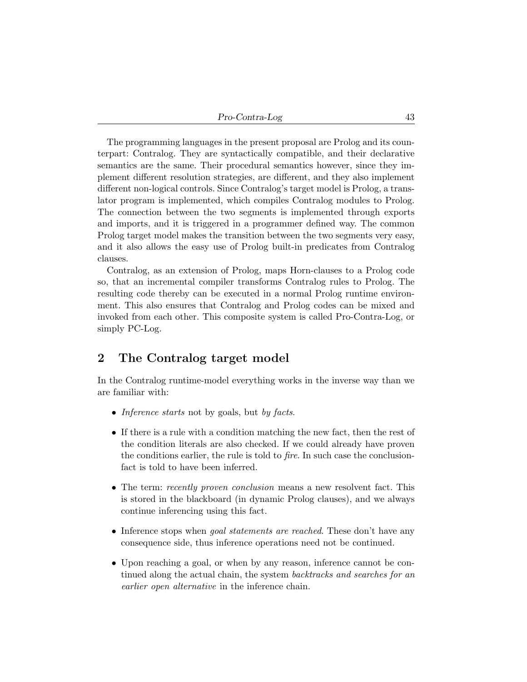| $Pro-Contra-Log$ |  |
|------------------|--|
|                  |  |

The programming languages in the present proposal are Prolog and its counterpart: Contralog. They are syntactically compatible, and their declarative semantics are the same. Their procedural semantics however, since they implement different resolution strategies, are different, and they also implement different non-logical controls. Since Contralog's target model is Prolog, a translator program is implemented, which compiles Contralog modules to Prolog. The connection between the two segments is implemented through exports and imports, and it is triggered in a programmer defined way. The common Prolog target model makes the transition between the two segments very easy, and it also allows the easy use of Prolog built-in predicates from Contralog clauses.

Contralog, as an extension of Prolog, maps Horn-clauses to a Prolog code so, that an incremental compiler transforms Contralog rules to Prolog. The resulting code thereby can be executed in a normal Prolog runtime environment. This also ensures that Contralog and Prolog codes can be mixed and invoked from each other. This composite system is called Pro-Contra-Log, or simply PC-Log.

## 2 The Contralog target model

In the Contralog runtime-model everything works in the inverse way than we are familiar with:

- Inference starts not by goals, but by facts.
- If there is a rule with a condition matching the new fact, then the rest of the condition literals are also checked. If we could already have proven the conditions earlier, the rule is told to fire. In such case the conclusionfact is told to have been inferred.
- The term: *recently proven conclusion* means a new resolvent fact. This is stored in the blackboard (in dynamic Prolog clauses), and we always continue inferencing using this fact.
- Inference stops when *goal statements are reached*. These don't have any consequence side, thus inference operations need not be continued.
- Upon reaching a goal, or when by any reason, inference cannot be continued along the actual chain, the system backtracks and searches for an earlier open alternative in the inference chain.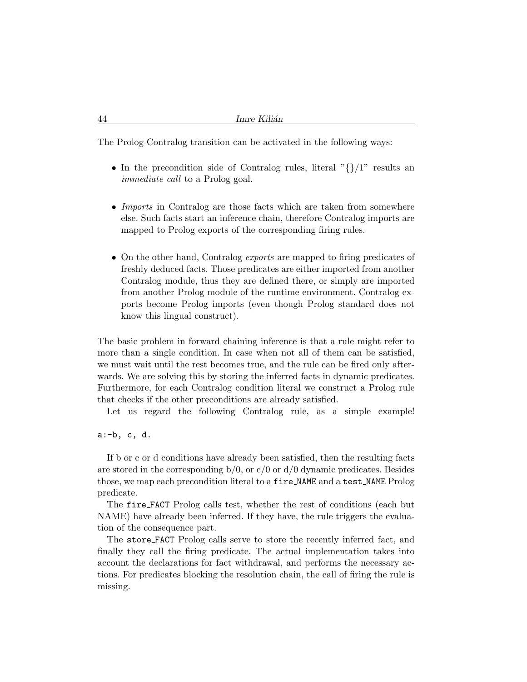The Prolog-Contralog transition can be activated in the following ways:

- In the precondition side of Contralog rules, literal  $\binom{n}{1}$  results an immediate call to a Prolog goal.
- *Imports* in Contralog are those facts which are taken from somewhere else. Such facts start an inference chain, therefore Contralog imports are mapped to Prolog exports of the corresponding firing rules.
- On the other hand, Contralog exports are mapped to firing predicates of freshly deduced facts. Those predicates are either imported from another Contralog module, thus they are defined there, or simply are imported from another Prolog module of the runtime environment. Contralog exports become Prolog imports (even though Prolog standard does not know this lingual construct).

The basic problem in forward chaining inference is that a rule might refer to more than a single condition. In case when not all of them can be satisfied, we must wait until the rest becomes true, and the rule can be fired only afterwards. We are solving this by storing the inferred facts in dynamic predicates. Furthermore, for each Contralog condition literal we construct a Prolog rule that checks if the other preconditions are already satisfied.

Let us regard the following Contralog rule, as a simple example!

a:-b, c, d.

If b or c or d conditions have already been satisfied, then the resulting facts are stored in the corresponding  $b/0$ , or  $c/0$  or  $d/0$  dynamic predicates. Besides those, we map each precondition literal to a fire NAME and a test NAME Prolog predicate.

The fire FACT Prolog calls test, whether the rest of conditions (each but NAME) have already been inferred. If they have, the rule triggers the evaluation of the consequence part.

The store FACT Prolog calls serve to store the recently inferred fact, and finally they call the firing predicate. The actual implementation takes into account the declarations for fact withdrawal, and performs the necessary actions. For predicates blocking the resolution chain, the call of firing the rule is missing.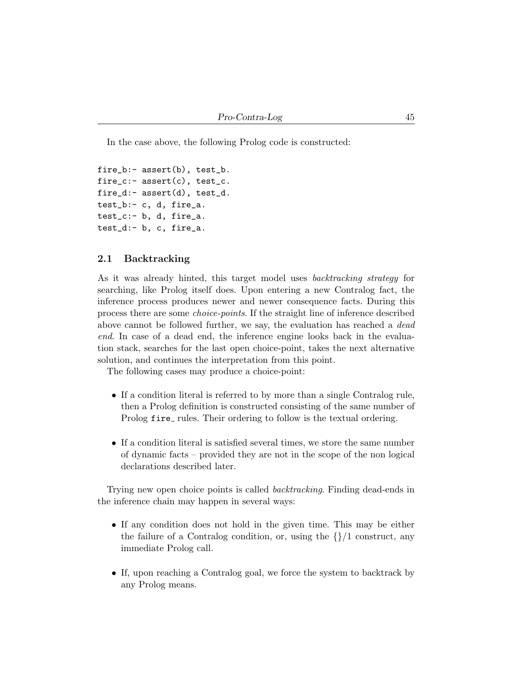In the case above, the following Prolog code is constructed:

```
fire_b:- assert(b), test_b.
fire_c:- assert(c), test_c.
fire_d:- assert(d), test_d.
test_b:- c, d, fire_a.
test_c:- b, d, fire_a.
test_d:- b, c, fire_a.
```
#### 2.1 Backtracking

As it was already hinted, this target model uses backtracking strategy for searching, like Prolog itself does. Upon entering a new Contralog fact, the inference process produces newer and newer consequence facts. During this process there are some choice-points. If the straight line of inference described above cannot be followed further, we say, the evaluation has reached a dead end. In case of a dead end, the inference engine looks back in the evaluation stack, searches for the last open choice-point, takes the next alternative solution, and continues the interpretation from this point.

The following cases may produce a choice-point:

- If a condition literal is referred to by more than a single Contralog rule, then a Prolog definition is constructed consisting of the same number of Prolog fire rules. Their ordering to follow is the textual ordering.
- If a condition literal is satisfied several times, we store the same number of dynamic facts – provided they are not in the scope of the non logical declarations described later.

Trying new open choice points is called backtracking. Finding dead-ends in the inference chain may happen in several ways:

- If any condition does not hold in the given time. This may be either the failure of a Contralog condition, or, using the  $\{\}/1$  construct, any immediate Prolog call.
- If, upon reaching a Contralog goal, we force the system to backtrack by any Prolog means.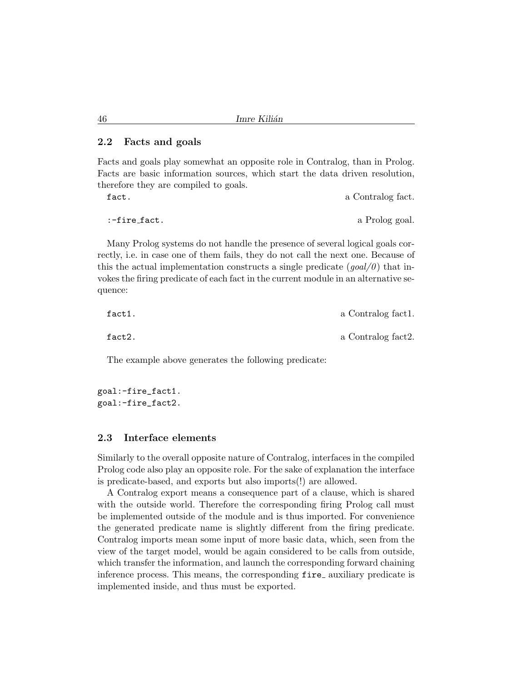#### 2.2 Facts and goals

Facts and goals play somewhat an opposite role in Contralog, than in Prolog. Facts are basic information sources, which start the data driven resolution, therefore they are compiled to goals.

| fact.        | a Contralog fact. |
|--------------|-------------------|
|              |                   |
| :-fire_fact. | a Prolog goal.    |

Many Prolog systems do not handle the presence of several logical goals correctly, i.e. in case one of them fails, they do not call the next one. Because of this the actual implementation constructs a single predicate  $(qoal/\theta)$  that invokes the firing predicate of each fact in the current module in an alternative sequence:

| fact1. | a Contralog fact1. |
|--------|--------------------|
| fact2. | a Contralog fact2. |

The example above generates the following predicate:

### goal:-fire\_fact1. goal:-fire\_fact2.

#### 2.3 Interface elements

Similarly to the overall opposite nature of Contralog, interfaces in the compiled Prolog code also play an opposite role. For the sake of explanation the interface is predicate-based, and exports but also imports(!) are allowed.

A Contralog export means a consequence part of a clause, which is shared with the outside world. Therefore the corresponding firing Prolog call must be implemented outside of the module and is thus imported. For convenience the generated predicate name is slightly different from the firing predicate. Contralog imports mean some input of more basic data, which, seen from the view of the target model, would be again considered to be calls from outside, which transfer the information, and launch the corresponding forward chaining inference process. This means, the corresponding fire auxiliary predicate is implemented inside, and thus must be exported.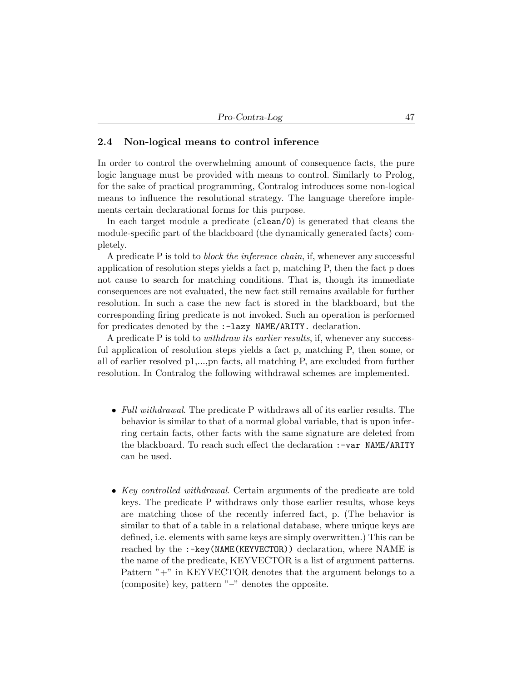#### 2.4 Non-logical means to control inference

In order to control the overwhelming amount of consequence facts, the pure logic language must be provided with means to control. Similarly to Prolog, for the sake of practical programming, Contralog introduces some non-logical means to influence the resolutional strategy. The language therefore implements certain declarational forms for this purpose.

In each target module a predicate (clean/0) is generated that cleans the module-specific part of the blackboard (the dynamically generated facts) completely.

A predicate P is told to *block the inference chain*, if, whenever any successful application of resolution steps yields a fact p, matching P, then the fact p does not cause to search for matching conditions. That is, though its immediate consequences are not evaluated, the new fact still remains available for further resolution. In such a case the new fact is stored in the blackboard, but the corresponding firing predicate is not invoked. Such an operation is performed for predicates denoted by the :-lazy NAME/ARITY. declaration.

A predicate P is told to *withdraw its earlier results*, if, whenever any successful application of resolution steps yields a fact p, matching P, then some, or all of earlier resolved p1,...,pn facts, all matching P, are excluded from further resolution. In Contralog the following withdrawal schemes are implemented.

- Full withdrawal. The predicate P withdraws all of its earlier results. The behavior is similar to that of a normal global variable, that is upon inferring certain facts, other facts with the same signature are deleted from the blackboard. To reach such effect the declaration :-var NAME/ARITY can be used.
- Key controlled withdrawal. Certain arguments of the predicate are told keys. The predicate P withdraws only those earlier results, whose keys are matching those of the recently inferred fact, p. (The behavior is similar to that of a table in a relational database, where unique keys are defined, i.e. elements with same keys are simply overwritten.) This can be reached by the :-key(NAME(KEYVECTOR)) declaration, where NAME is the name of the predicate, KEYVECTOR is a list of argument patterns. Pattern "+" in KEYVECTOR denotes that the argument belongs to a (composite) key, pattern "–" denotes the opposite.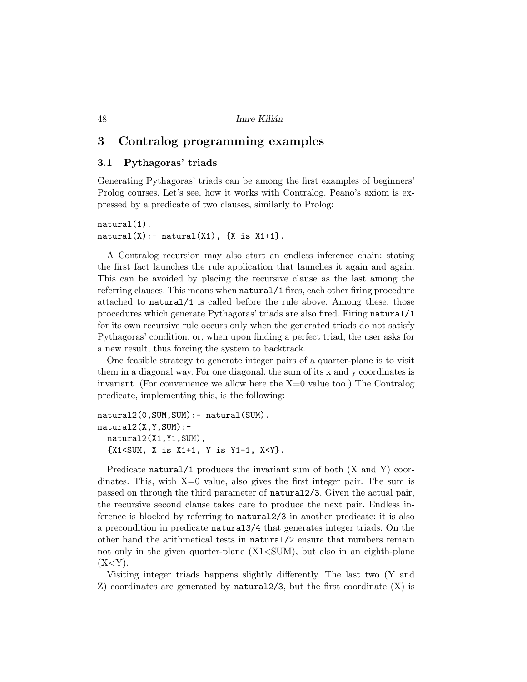## 3 Contralog programming examples

#### 3.1 Pythagoras' triads

Generating Pythagoras' triads can be among the first examples of beginners' Prolog courses. Let's see, how it works with Contralog. Peano's axiom is expressed by a predicate of two clauses, similarly to Prolog:

```
natural(1).
natural(X): – natural(X1), \{X \text{ is } X1+1\}.
```
A Contralog recursion may also start an endless inference chain: stating the first fact launches the rule application that launches it again and again. This can be avoided by placing the recursive clause as the last among the referring clauses. This means when natural/1 fires, each other firing procedure attached to natural/1 is called before the rule above. Among these, those procedures which generate Pythagoras' triads are also fired. Firing natural/1 for its own recursive rule occurs only when the generated triads do not satisfy Pythagoras' condition, or, when upon finding a perfect triad, the user asks for a new result, thus forcing the system to backtrack.

One feasible strategy to generate integer pairs of a quarter-plane is to visit them in a diagonal way. For one diagonal, the sum of its x and y coordinates is invariant. (For convenience we allow here the  $X=0$  value too.) The Contralog predicate, implementing this, is the following:

```
natural2(0,SUM,SUM):- natural(SUM).
natural2(X,Y,SUM):-natural2(X1,Y1,SUM),
  {X1<SUM, X is X1+1, Y is Y1-1, X<Y}.
```
Predicate  $natural/1$  produces the invariant sum of both  $(X \text{ and } Y)$  coordinates. This, with  $X=0$  value, also gives the first integer pair. The sum is passed on through the third parameter of natural2/3. Given the actual pair, the recursive second clause takes care to produce the next pair. Endless inference is blocked by referring to natural2/3 in another predicate: it is also a precondition in predicate natural3/4 that generates integer triads. On the other hand the arithmetical tests in natural/2 ensure that numbers remain not only in the given quarter-plane  $(X1\leq$ SUM), but also in an eighth-plane  $(X < Y)$ .

Visiting integer triads happens slightly differently. The last two (Y and  $Z$ ) coordinates are generated by natural2/3, but the first coordinate  $(X)$  is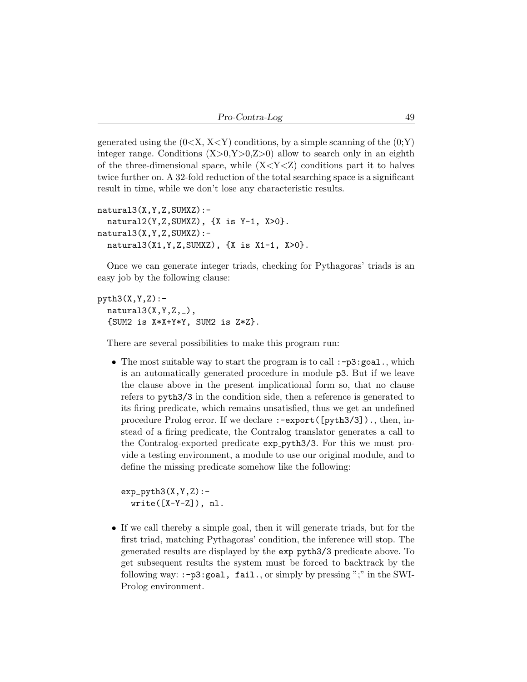generated using the  $(0\lt X, X\lt Y)$  conditions, by a simple scanning of the  $(0;Y)$ integer range. Conditions  $(X>0, Y>0, Z>0)$  allow to search only in an eighth of the three-dimensional space, while  $(X < Y < Z)$  conditions part it to halves twice further on. A 32-fold reduction of the total searching space is a significant result in time, while we don't lose any characteristic results.

```
natural3(X,Y,Z,SUMXZ):-
  natural2(Y,Z,SUMXZ), {X is Y-1, X>0}.
natural3(X,Y,Z,SUMXZ):-
  natural3(X1,Y,Z,SUMXZ), {X is X1-1, X>0}.
```
Once we can generate integer triads, checking for Pythagoras' triads is an easy job by the following clause:

```
python(X,Y,Z):-
  natural3(X,Y,Z,-),
  {SUM2 is X*X+Y*Y, SUM2 is Z*Z}.
```
There are several possibilities to make this program run:

• The most suitable way to start the program is to call :-p3:goal., which is an automatically generated procedure in module p3. But if we leave the clause above in the present implicational form so, that no clause refers to pyth3/3 in the condition side, then a reference is generated to its firing predicate, which remains unsatisfied, thus we get an undefined procedure Prolog error. If we declare :-export([pyth3/3])., then, instead of a firing predicate, the Contralog translator generates a call to the Contralog-exported predicate exp pyth3/3. For this we must provide a testing environment, a module to use our original module, and to define the missing predicate somehow like the following:

 $exp\_pyth3(X,Y,Z):$ write([X-Y-Z]), nl.

• If we call thereby a simple goal, then it will generate triads, but for the first triad, matching Pythagoras' condition, the inference will stop. The generated results are displayed by the exp pyth3/3 predicate above. To get subsequent results the system must be forced to backtrack by the following way: :-p3:goal, fail., or simply by pressing ";" in the SWI-Prolog environment.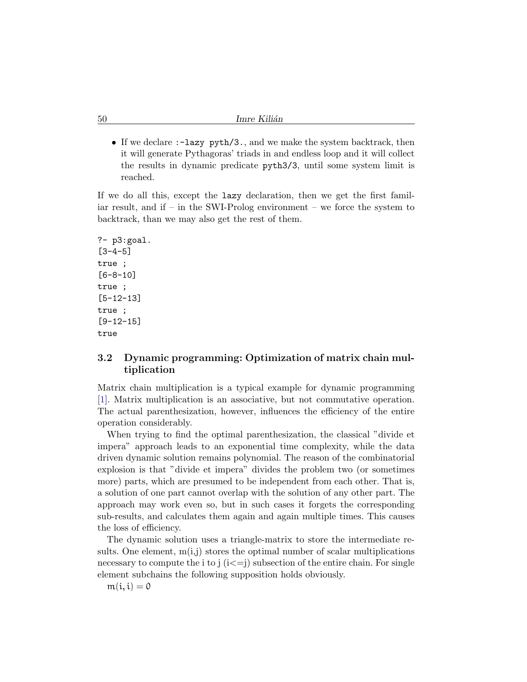<span id="page-9-0"></span>

| Imre Kilián<br>50 |
|-------------------|
|-------------------|

• If we declare :-lazy pyth/3., and we make the system backtrack, then it will generate Pythagoras' triads in and endless loop and it will collect the results in dynamic predicate pyth3/3, until some system limit is reached.

If we do all this, except the lazy declaration, then we get the first familiar result, and if – in the SWI-Prolog environment – we force the system to backtrack, than we may also get the rest of them.

?- p3:goal.  $[3 - 4 - 5]$ true ; [6-8-10] true ; [5-12-13] true ;  $[9-12-15]$ true

## 3.2 Dynamic programming: Optimization of matrix chain multiplication

Matrix chain multiplication is a typical example for dynamic programming [\[1\]](#page-21-1). Matrix multiplication is an associative, but not commutative operation. The actual parenthesization, however, influences the efficiency of the entire operation considerably.

When trying to find the optimal parenthesization, the classical "divide et impera" approach leads to an exponential time complexity, while the data driven dynamic solution remains polynomial. The reason of the combinatorial explosion is that "divide et impera" divides the problem two (or sometimes more) parts, which are presumed to be independent from each other. That is, a solution of one part cannot overlap with the solution of any other part. The approach may work even so, but in such cases it forgets the corresponding sub-results, and calculates them again and again multiple times. This causes the loss of efficiency.

The dynamic solution uses a triangle-matrix to store the intermediate results. One element,  $m(i,j)$  stores the optimal number of scalar multiplications necessary to compute the i to j  $(i \leq j)$  subsection of the entire chain. For single element subchains the following supposition holds obviously.

 $m(i, i) = 0$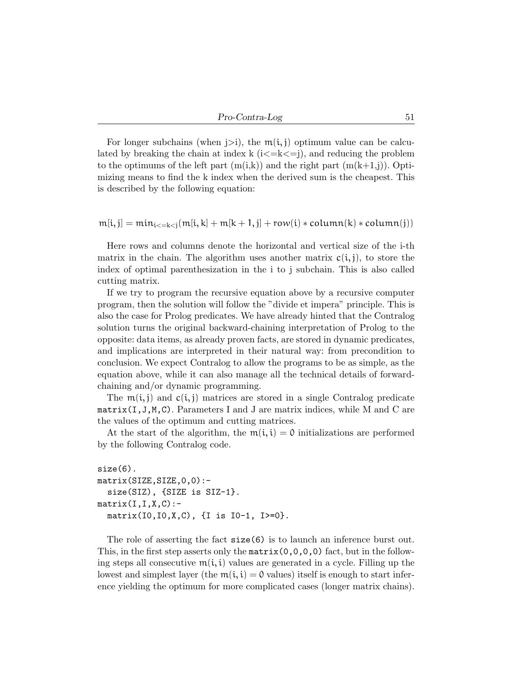For longer subchains (when  $j>i$ ), the  $m(i, j)$  optimum value can be calculated by breaking the chain at index  $k$  ( $i \le k \le j$ ), and reducing the problem to the optimums of the left part  $(m(i,k))$  and the right part  $(m(k+1,j))$ . Optimizing means to find the k index when the derived sum is the cheapest. This is described by the following equation:

 $m[i, j] = min_{i \leq k \leq j}(m[i, k] + m[k + 1, j] + row(i) * column(k) * column(j))$ 

Here rows and columns denote the horizontal and vertical size of the i-th matrix in the chain. The algorithm uses another matrix  $c(i, j)$ , to store the index of optimal parenthesization in the i to j subchain. This is also called cutting matrix.

If we try to program the recursive equation above by a recursive computer program, then the solution will follow the "divide et impera" principle. This is also the case for Prolog predicates. We have already hinted that the Contralog solution turns the original backward-chaining interpretation of Prolog to the opposite: data items, as already proven facts, are stored in dynamic predicates, and implications are interpreted in their natural way: from precondition to conclusion. We expect Contralog to allow the programs to be as simple, as the equation above, while it can also manage all the technical details of forwardchaining and/or dynamic programming.

The  $m(i, j)$  and  $c(i, j)$  matrices are stored in a single Contralog predicate  $matrix(I,J,M,C)$ . Parameters I and J are matrix indices, while M and C are the values of the optimum and cutting matrices.

At the start of the algorithm, the  $m(i, i) = 0$  initializations are performed by the following Contralog code.

```
size(6).
matrix(SIZE,SIZE,0,0):-
  size(SIZ), {SIZE is SIZ-1}.
matrix(I,I,X,C):matrix(I0,I0,X,C), \{I \text{ is } I0-1, I \geq 0\}.
```
The role of asserting the fact size(6) is to launch an inference burst out. This, in the first step asserts only the  $matrix(0,0,0,0)$  fact, but in the following steps all consecutive  $m(i, i)$  values are generated in a cycle. Filling up the lowest and simplest layer (the  $m(i, i) = 0$  values) itself is enough to start inference yielding the optimum for more complicated cases (longer matrix chains).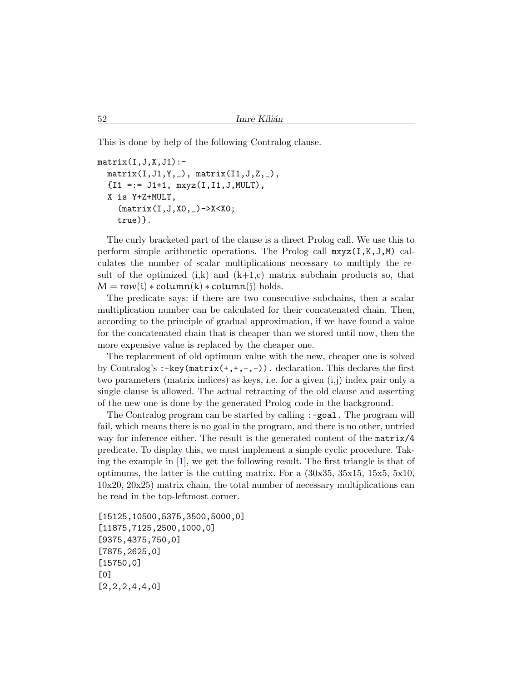This is done by help of the following Contralog clause.

```
matrix(I,J,X,J1):matrix(I,J1,Y,\_), matrix(I1,J,Z,\_),
  {II} == J1+1, max_Z(I, I1, J, MULT),X is Y+Z+MULT,
    (matrix(I,J,X0,-)>X<0;true)}.
```
The curly bracketed part of the clause is a direct Prolog call. We use this to perform simple arithmetic operations. The Prolog call mxyz(I,K,J,M) calculates the number of scalar multiplications necessary to multiply the result of the optimized  $(i,k)$  and  $(k+1,c)$  matrix subchain products so, that  $M = row(i) * column(k) * column(j) holds.$ 

The predicate says: if there are two consecutive subchains, then a scalar multiplication number can be calculated for their concatenated chain. Then, according to the principle of gradual approximation, if we have found a value for the concatenated chain that is cheaper than we stored until now, then the more expensive value is replaced by the cheaper one.

The replacement of old optimum value with the new, cheaper one is solved by Contralog's :-key(matrix(+,+,-,-)). declaration. This declares the first two parameters (matrix indices) as keys, i.e. for a given (i,j) index pair only a single clause is allowed. The actual retracting of the old clause and asserting of the new one is done by the generated Prolog code in the background.

The Contralog program can be started by calling :-goal. The program will fail, which means there is no goal in the program, and there is no other, untried way for inference either. The result is the generated content of the matrix/4 predicate. To display this, we must implement a simple cyclic procedure. Taking the example in  $[1]$ , we get the following result. The first triangle is that of optimums, the latter is the cutting matrix. For a (30x35, 35x15, 15x5, 5x10, 10x20, 20x25) matrix chain, the total number of necessary multiplications can be read in the top-leftmost corner.

```
[15125,10500,5375,3500,5000,0]
[11875,7125,2500,1000,0]
[9375,4375,750,0]
[7875,2625,0]
[15750,0]
[0]
[2, 2, 2, 4, 4, 0]
```
<span id="page-11-0"></span>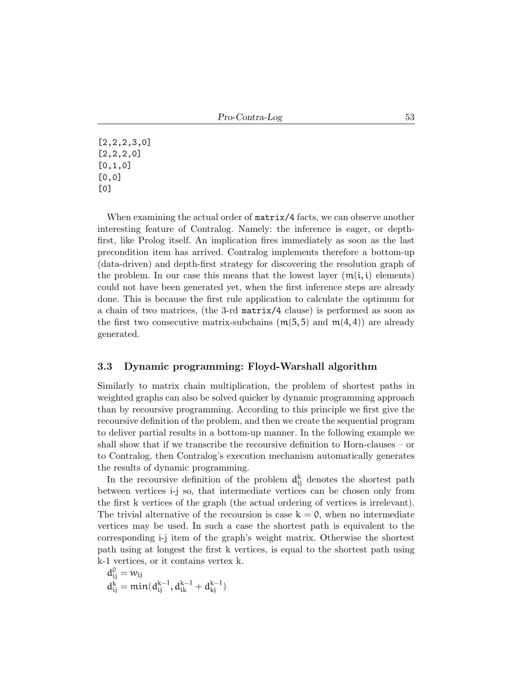[2,2,2,3,0] [2,2,2,0] [0,1,0] [0,0] [0]

When examining the actual order of  $matrix/4$  facts, we can observe another interesting feature of Contralog. Namely: the inference is eager, or depthfirst, like Prolog itself. An implication fires immediately as soon as the last precondition item has arrived. Contralog implements therefore a bottom-up (data-driven) and depth-first strategy for discovering the resolution graph of the problem. In our case this means that the lowest layer  $(m(i,i))$  elements) could not have been generated yet, when the first inference steps are already done. This is because the first rule application to calculate the optimum for a chain of two matrices, (the 3-rd matrix/4 clause) is performed as soon as the first two consecutive matrix-subchains  $(m(5,5)$  and  $m(4,4))$  are already generated.

#### 3.3 Dynamic programming: Floyd-Warshall algorithm

Similarly to matrix chain multiplication, the problem of shortest paths in weighted graphs can also be solved quicker by dynamic programming approach than by recoursive programming. According to this principle we first give the recoursive definition of the problem, and then we create the sequential program to deliver partial results in a bottom-up manner. In the following example we shall show that if we transcribe the recoursive definition to Horn-clauses – or to Contralog, then Contralog's execution mechanism automatically generates the results of dynamic programming.

In the recoursive definition of the problem  $d_{ij}^k$  denotes the shortest path between vertices i-j so, that intermediate vertices can be chosen only from the first k vertices of the graph (the actual ordering of vertices is irrelevant). The trivial alternative of the recoursion is case  $k = 0$ , when no intermediate vertices may be used. In such a case the shortest path is equivalent to the corresponding i-j item of the graph's weight matrix. Otherwise the shortest path using at longest the first k vertices, is equal to the shortest path using k-1 vertices, or it contains vertex k.

$$
\begin{array}{l} d_{ij}^0=w_{ij}\\ d_{ij}^k=min(d_{ij}^{k-1},d_{ik}^{k-1}+d_{kj}^{k-1})\end{array}
$$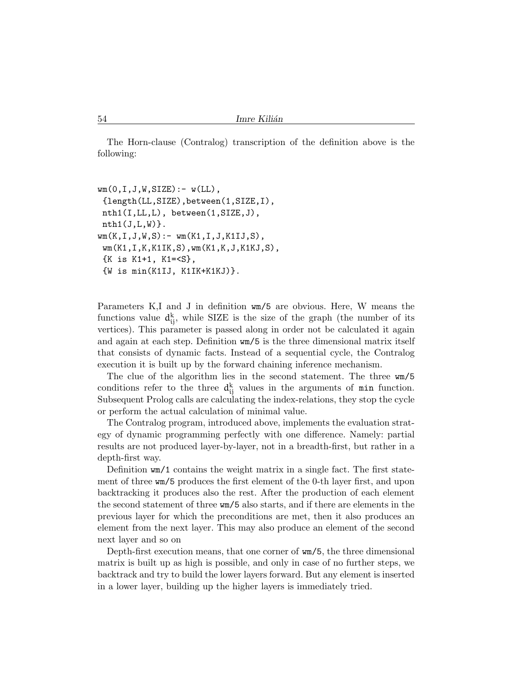The Horn-clause (Contralog) transcription of the definition above is the following:

```
wm(0, I, J, W, SIZE) : - w(LL),
 {length(LL,SIZE),between(1,SIZE,I),
 nth1(I,LL,L), between(1,SIZE,J),
 nth1(J,L,W).
wm(K, I, J, W, S) := wm(K1, I, J, K1IJ, S),
 wm(K1,I,K,K1IK,S),wm(K1,K,J,K1KJ,S),
 {K is K1+1, K1=<S},
 {W is min(K1IJ, K1IK+K1KJ)}.
```
Parameters K,I and J in definition wm/5 are obvious. Here, W means the functions value  $d_{ij}^k$ , while SIZE is the size of the graph (the number of its vertices). This parameter is passed along in order not be calculated it again and again at each step. Definition wm/5 is the three dimensional matrix itself that consists of dynamic facts. Instead of a sequential cycle, the Contralog execution it is built up by the forward chaining inference mechanism.

The clue of the algorithm lies in the second statement. The three wm/5 conditions refer to the three  $d_{ij}^k$  values in the arguments of min function. Subsequent Prolog calls are calculating the index-relations, they stop the cycle or perform the actual calculation of minimal value.

The Contralog program, introduced above, implements the evaluation strategy of dynamic programming perfectly with one difference. Namely: partial results are not produced layer-by-layer, not in a breadth-first, but rather in a depth-first way.

Definition wm/1 contains the weight matrix in a single fact. The first statement of three wm/5 produces the first element of the 0-th layer first, and upon backtracking it produces also the rest. After the production of each element the second statement of three wm/5 also starts, and if there are elements in the previous layer for which the preconditions are met, then it also produces an element from the next layer. This may also produce an element of the second next layer and so on

Depth-first execution means, that one corner of wm/5, the three dimensional matrix is built up as high is possible, and only in case of no further steps, we backtrack and try to build the lower layers forward. But any element is inserted in a lower layer, building up the higher layers is immediately tried.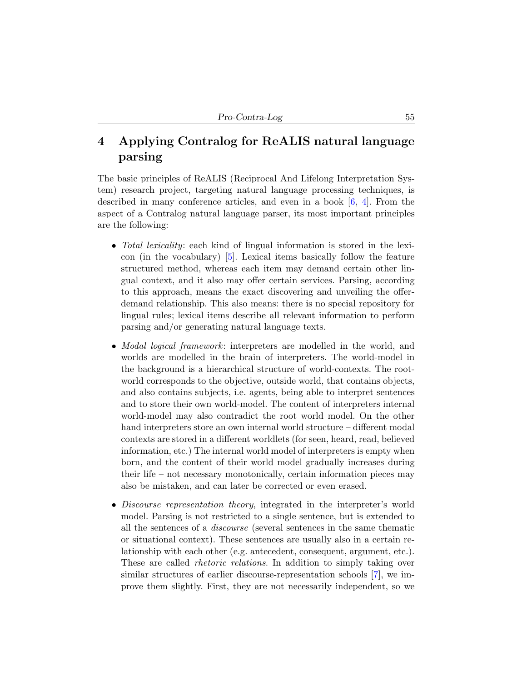## <span id="page-14-0"></span>4 Applying Contralog for ReALIS natural language parsing

The basic principles of ReALIS (Reciprocal And Lifelong Interpretation System) research project, targeting natural language processing techniques, is described in many conference articles, and even in a book  $[6, 4]$  $[6, 4]$  $[6, 4]$ . From the aspect of a Contralog natural language parser, its most important principles are the following:

- Total lexicality: each kind of lingual information is stored in the lexicon (in the vocabulary) [\[5\]](#page-21-4). Lexical items basically follow the feature structured method, whereas each item may demand certain other lingual context, and it also may offer certain services. Parsing, according to this approach, means the exact discovering and unveiling the offerdemand relationship. This also means: there is no special repository for lingual rules; lexical items describe all relevant information to perform parsing and/or generating natural language texts.
- Modal logical framework: interpreters are modelled in the world, and worlds are modelled in the brain of interpreters. The world-model in the background is a hierarchical structure of world-contexts. The rootworld corresponds to the objective, outside world, that contains objects, and also contains subjects, i.e. agents, being able to interpret sentences and to store their own world-model. The content of interpreters internal world-model may also contradict the root world model. On the other hand interpreters store an own internal world structure – different modal contexts are stored in a different worldlets (for seen, heard, read, believed information, etc.) The internal world model of interpreters is empty when born, and the content of their world model gradually increases during their life – not necessary monotonically, certain information pieces may also be mistaken, and can later be corrected or even erased.
- Discourse representation theory, integrated in the interpreter's world model. Parsing is not restricted to a single sentence, but is extended to all the sentences of a discourse (several sentences in the same thematic or situational context). These sentences are usually also in a certain relationship with each other (e.g. antecedent, consequent, argument, etc.). These are called *rhetoric relations*. In addition to simply taking over similar structures of earlier discourse-representation schools [\[7\]](#page-21-5), we improve them slightly. First, they are not necessarily independent, so we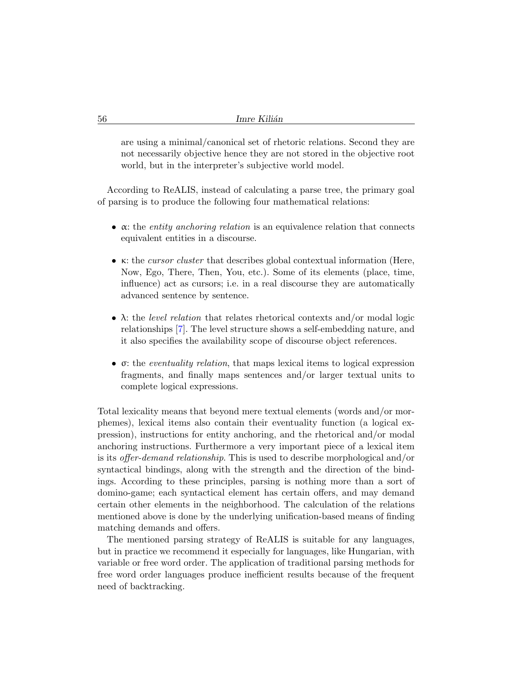<span id="page-15-0"></span>are using a minimal/canonical set of rhetoric relations. Second they are not necessarily objective hence they are not stored in the objective root world, but in the interpreter's subjective world model.

According to ReALIS, instead of calculating a parse tree, the primary goal of parsing is to produce the following four mathematical relations:

- $\alpha$ : the *entity anchoring relation* is an equivalence relation that connects equivalent entities in a discourse.
- κ: the cursor cluster that describes global contextual information (Here, Now, Ego, There, Then, You, etc.). Some of its elements (place, time, influence) act as cursors; i.e. in a real discourse they are automatically advanced sentence by sentence.
- $\lambda$ : the *level relation* that relates rhetorical contexts and/or modal logic relationships [\[7\]](#page-21-5). The level structure shows a self-embedding nature, and it also specifies the availability scope of discourse object references.
- σ: the eventuality relation, that maps lexical items to logical expression fragments, and finally maps sentences and/or larger textual units to complete logical expressions.

Total lexicality means that beyond mere textual elements (words and/or morphemes), lexical items also contain their eventuality function (a logical expression), instructions for entity anchoring, and the rhetorical and/or modal anchoring instructions. Furthermore a very important piece of a lexical item is its offer-demand relationship. This is used to describe morphological and/or syntactical bindings, along with the strength and the direction of the bindings. According to these principles, parsing is nothing more than a sort of domino-game; each syntactical element has certain offers, and may demand certain other elements in the neighborhood. The calculation of the relations mentioned above is done by the underlying unification-based means of finding matching demands and offers.

The mentioned parsing strategy of ReALIS is suitable for any languages, but in practice we recommend it especially for languages, like Hungarian, with variable or free word order. The application of traditional parsing methods for free word order languages produce inefficient results because of the frequent need of backtracking.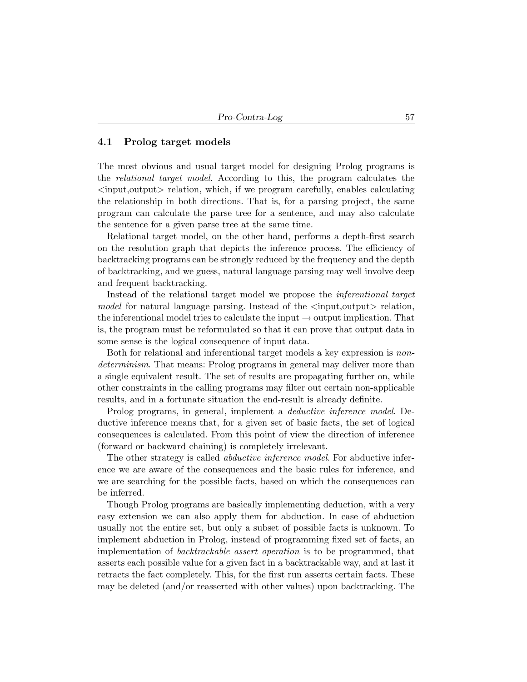#### 4.1 Prolog target models

The most obvious and usual target model for designing Prolog programs is the relational target model. According to this, the program calculates the  $\langle \text{input}, \text{output} \rangle$  relation, which, if we program carefully, enables calculating the relationship in both directions. That is, for a parsing project, the same program can calculate the parse tree for a sentence, and may also calculate the sentence for a given parse tree at the same time.

Relational target model, on the other hand, performs a depth-first search on the resolution graph that depicts the inference process. The efficiency of backtracking programs can be strongly reduced by the frequency and the depth of backtracking, and we guess, natural language parsing may well involve deep and frequent backtracking.

Instead of the relational target model we propose the inferentional target model for natural language parsing. Instead of the  $\langle$ input,output $\rangle$  relation, the inferentional model tries to calculate the input  $\rightarrow$  output implication. That is, the program must be reformulated so that it can prove that output data in some sense is the logical consequence of input data.

Both for relational and inferentional target models a key expression is nondeterminism. That means: Prolog programs in general may deliver more than a single equivalent result. The set of results are propagating further on, while other constraints in the calling programs may filter out certain non-applicable results, and in a fortunate situation the end-result is already definite.

Prolog programs, in general, implement a deductive inference model. Deductive inference means that, for a given set of basic facts, the set of logical consequences is calculated. From this point of view the direction of inference (forward or backward chaining) is completely irrelevant.

The other strategy is called *abductive inference model*. For abductive inference we are aware of the consequences and the basic rules for inference, and we are searching for the possible facts, based on which the consequences can be inferred.

Though Prolog programs are basically implementing deduction, with a very easy extension we can also apply them for abduction. In case of abduction usually not the entire set, but only a subset of possible facts is unknown. To implement abduction in Prolog, instead of programming fixed set of facts, an implementation of backtrackable assert operation is to be programmed, that asserts each possible value for a given fact in a backtrackable way, and at last it retracts the fact completely. This, for the first run asserts certain facts. These may be deleted (and/or reasserted with other values) upon backtracking. The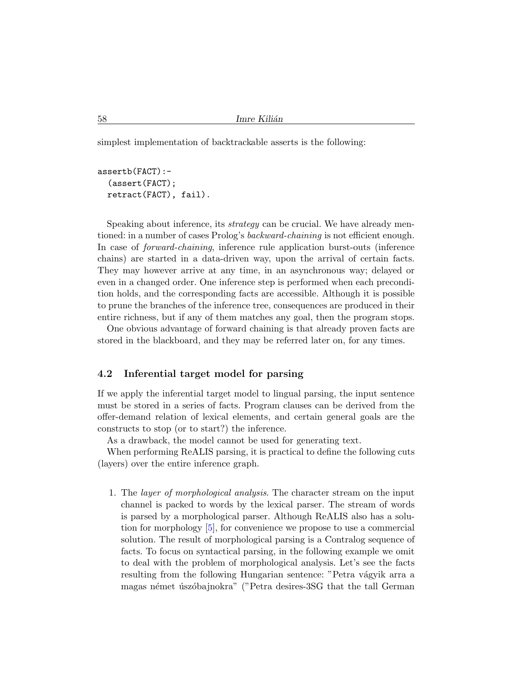<span id="page-17-0"></span>simplest implementation of backtrackable asserts is the following:

```
assertb(FACT):-
  (assert(FACT);
  retract(FACT), fail).
```
Speaking about inference, its *strategy* can be crucial. We have already mentioned: in a number of cases Prolog's *backward-chaining* is not efficient enough. In case of forward-chaining, inference rule application burst-outs (inference chains) are started in a data-driven way, upon the arrival of certain facts. They may however arrive at any time, in an asynchronous way; delayed or even in a changed order. One inference step is performed when each precondition holds, and the corresponding facts are accessible. Although it is possible to prune the branches of the inference tree, consequences are produced in their entire richness, but if any of them matches any goal, then the program stops.

One obvious advantage of forward chaining is that already proven facts are stored in the blackboard, and they may be referred later on, for any times.

### 4.2 Inferential target model for parsing

If we apply the inferential target model to lingual parsing, the input sentence must be stored in a series of facts. Program clauses can be derived from the offer-demand relation of lexical elements, and certain general goals are the constructs to stop (or to start?) the inference.

As a drawback, the model cannot be used for generating text.

When performing ReALIS parsing, it is practical to define the following cuts (layers) over the entire inference graph.

1. The layer of morphological analysis. The character stream on the input channel is packed to words by the lexical parser. The stream of words is parsed by a morphological parser. Although ReALIS also has a solution for morphology [\[5\]](#page-21-4), for convenience we propose to use a commercial solution. The result of morphological parsing is a Contralog sequence of facts. To focus on syntactical parsing, in the following example we omit to deal with the problem of morphological analysis. Let's see the facts resulting from the following Hungarian sentence: "Petra vágyik arra a magas német úszóbajnokra" ("Petra desires-3SG that the tall German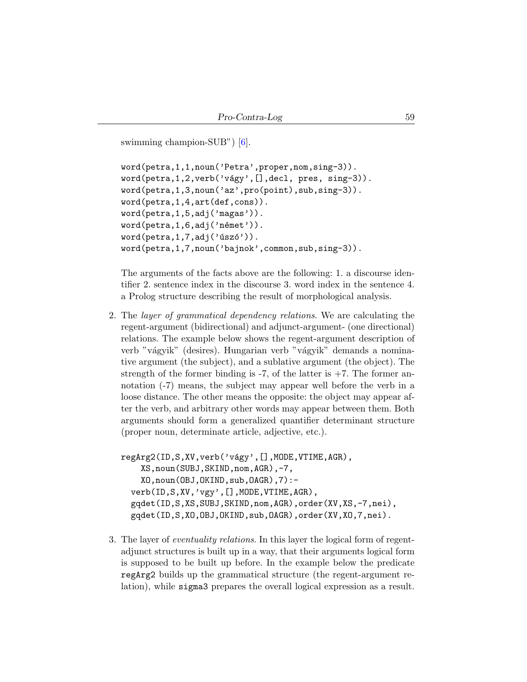```
swimming champion-SUB") [6].
```

```
word(petra,1,1,noun('Petra',proper,nom,sing-3)).
word(petra, 1, 2, verb('vágy', [], decl, pres, sing-3)).word(petra,1,3,noun('az',pro(point),sub,sing-3)).
word(petra,1,4,art(def,cons)).
word(petra,1,5,adj('magas')).
word(petra,1,6,adj('német')).
word(petra,1,7,adj('úszó')).
word(petra,1,7,noun('bajnok',common,sub,sing-3)).
```
The arguments of the facts above are the following: 1. a discourse identifier 2. sentence index in the discourse 3. word index in the sentence 4. a Prolog structure describing the result of morphological analysis.

2. The layer of grammatical dependency relations. We are calculating the regent-argument (bidirectional) and adjunct-argument- (one directional) relations. The example below shows the regent-argument description of verb "vágyik" (desires). Hungarian verb "vágyik" demands a nominative argument (the subject), and a sublative argument (the object). The strength of the former binding is  $-7$ , of the latter is  $+7$ . The former annotation (-7) means, the subject may appear well before the verb in a loose distance. The other means the opposite: the object may appear after the verb, and arbitrary other words may appear between them. Both arguments should form a generalized quantifier determinant structure (proper noun, determinate article, adjective, etc.).

```
regArg2(ID,S,XV,verb('vágy',[],MODE,VTIME,AGR),
    XS,noun(SUBJ,SKIND,nom,AGR),-7,
    XO,noun(OBJ,OKIND,sub,OAGR),7):-
  verb(ID,S,XV,'vgy',[],MODE,VTIME,AGR),
  gqdet(ID,S,XS,SUBJ,SKIND,nom,AGR),order(XV,XS,-7,nei),
  gqdet(ID,S,XO,OBJ,OKIND,sub,OAGR),order(XV,XO,7,nei).
```
3. The layer of eventuality relations. In this layer the logical form of regentadjunct structures is built up in a way, that their arguments logical form is supposed to be built up before. In the example below the predicate regArg2 builds up the grammatical structure (the regent-argument relation), while sigma3 prepares the overall logical expression as a result.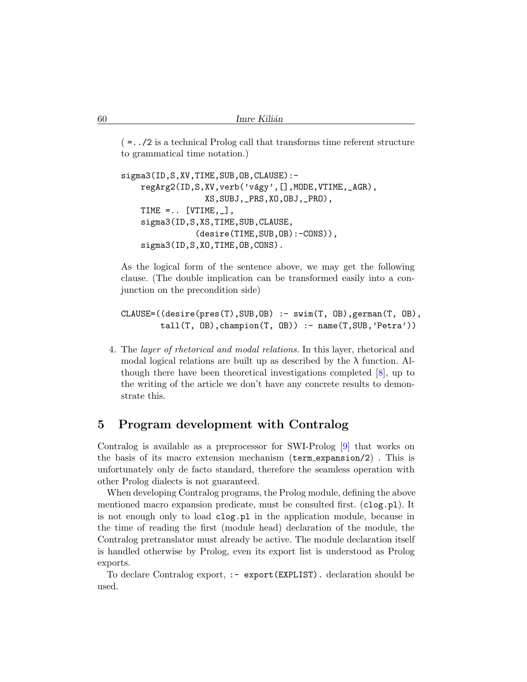<span id="page-19-0"></span>( =../2 is a technical Prolog call that transforms time referent structure to grammatical time notation.)

```
sigma3(ID,S,XV,TIME,SUB,OB,CLAUSE):-
   regArg2(ID,S,XV,verb('vágy',[],MODE,VTIME,_AGR),
                 XS,SUBJ,_PRS,XO,OBJ,_PRO),
   TIME =.. [VTIME, \_],
   sigma3(ID,S,XS,TIME,SUB,CLAUSE,
               (desire(TIME,SUB,OB):-CONS)),
   sigma3(ID,S,XO,TIME,OB,CONS).
```
As the logical form of the sentence above, we may get the following clause. (The double implication can be transformed easily into a conjunction on the precondition side)

```
CLAUSE=((desire(pres(T),SUB,OB) :- swim(T, OB),german(T, OB),
        tall(T, OB), champion(T, OB)) :- name(T, SUB, 'Petra'))
```
4. The layer of rhetorical and modal relations. In this layer, rhetorical and modal logical relations are built up as described by the  $\lambda$  function. Although there have been theoretical investigations completed [\[8\]](#page-21-6), up to the writing of the article we don't have any concrete results to demonstrate this.

## 5 Program development with Contralog

Contralog is available as a preprocessor for SWI-Prolog [\[9\]](#page-21-7) that works on the basis of its macro extension mechanism (term expansion/2) . This is unfortunately only de facto standard, therefore the seamless operation with other Prolog dialects is not guaranteed.

When developing Contralog programs, the Prolog module, defining the above mentioned macro expansion predicate, must be consulted first. (clog.pl). It is not enough only to load clog.pl in the application module, because in the time of reading the first (module head) declaration of the module, the Contralog pretranslator must already be active. The module declaration itself is handled otherwise by Prolog, even its export list is understood as Prolog exports.

To declare Contralog export, :- export(EXPLIST). declaration should be used.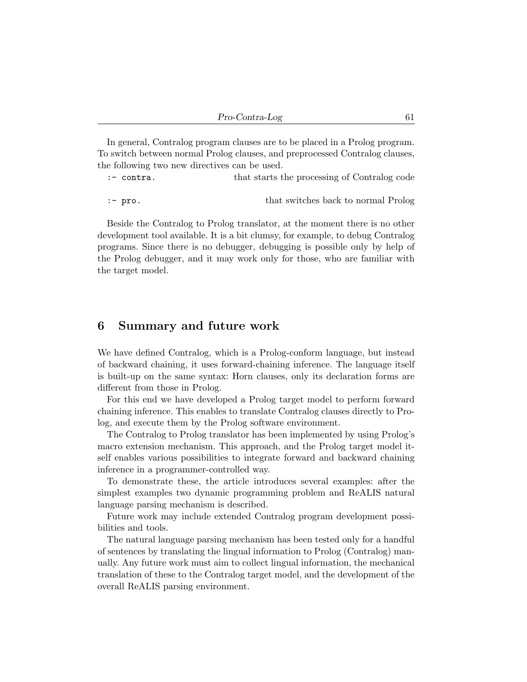In general, Contralog program clauses are to be placed in a Prolog program. To switch between normal Prolog clauses, and preprocessed Contralog clauses, the following two new directives can be used.

:- contra. that starts the processing of Contralog code

:- pro. that switches back to normal Prolog

Beside the Contralog to Prolog translator, at the moment there is no other development tool available. It is a bit clumsy, for example, to debug Contralog programs. Since there is no debugger, debugging is possible only by help of the Prolog debugger, and it may work only for those, who are familiar with the target model.

## 6 Summary and future work

We have defined Contralog, which is a Prolog-conform language, but instead of backward chaining, it uses forward-chaining inference. The language itself is built-up on the same syntax: Horn clauses, only its declaration forms are different from those in Prolog.

For this end we have developed a Prolog target model to perform forward chaining inference. This enables to translate Contralog clauses directly to Prolog, and execute them by the Prolog software environment.

The Contralog to Prolog translator has been implemented by using Prolog's macro extension mechanism. This approach, and the Prolog target model itself enables various possibilities to integrate forward and backward chaining inference in a programmer-controlled way.

To demonstrate these, the article introduces several examples: after the simplest examples two dynamic programming problem and ReALIS natural language parsing mechanism is described.

Future work may include extended Contralog program development possibilities and tools.

The natural language parsing mechanism has been tested only for a handful of sentences by translating the lingual information to Prolog (Contralog) manually. Any future work must aim to collect lingual information, the mechanical translation of these to the Contralog target model, and the development of the overall ReALIS parsing environment.